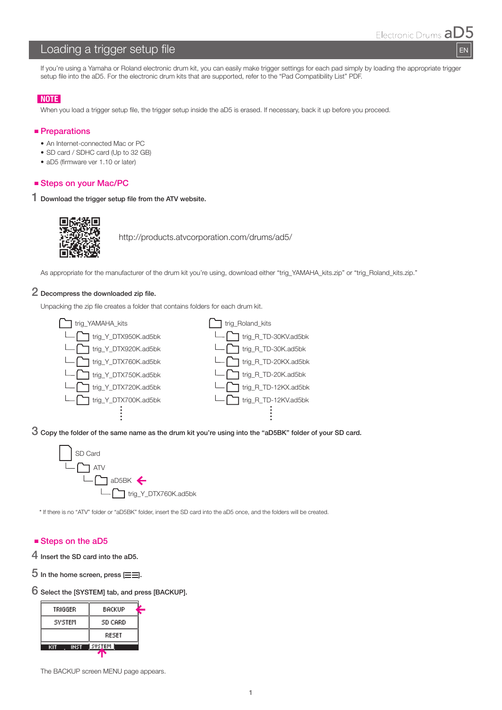EN

# Loading a trigger setup file

If you're using a Yamaha or Roland electronic drum kit, you can easily make trigger settings for each pad simply by loading the appropriate trigger setup file into the aD5. For the electronic drum kits that are supported, refer to the "Pad Compatibility List" PDF.

## **NOTE**

When you load a trigger setup file, the trigger setup inside the aD5 is erased. If necessary, back it up before you proceed.

#### **Preparations**

- An Internet-connected Mac or PC
- SD card / SDHC card (Up to 32 GB)
- aD5 (firmware ver 1.10 or later)

#### ■ Steps on your Mac/PC

1 Download the trigger setup file from the ATV website.



http://products.atvcorporation.com/drums/ad5/

As appropriate for the manufacturer of the drum kit you're using, download either "trig\_YAMAHA\_kits.zip" or "trig\_Roland\_kits.zip."

# 2 Decompress the downloaded zip file.

Unpacking the zip file creates a folder that contains folders for each drum kit.



3 Copy the folder of the same name as the drum kit you're using into the "aD5BK" folder of your SD card.



\* If there is no "ATV" folder or "aD5BK" folder, insert the SD card into the aD5 once, and the folders will be created.

## ■ Steps on the aD5

- 4 Insert the SD card into the aD5.
- $5$  In the home screen, press  $\equiv \equiv$ .

6 Select the [SYSTEM] tab, and press [BACKUP].

| TRIGGER    | BACKUP  |  |  |
|------------|---------|--|--|
| SYSTEM     | SD CARD |  |  |
|            | RESET   |  |  |
| INST<br>кп | SVSTEM  |  |  |

The BACKUP screen MENU page appears.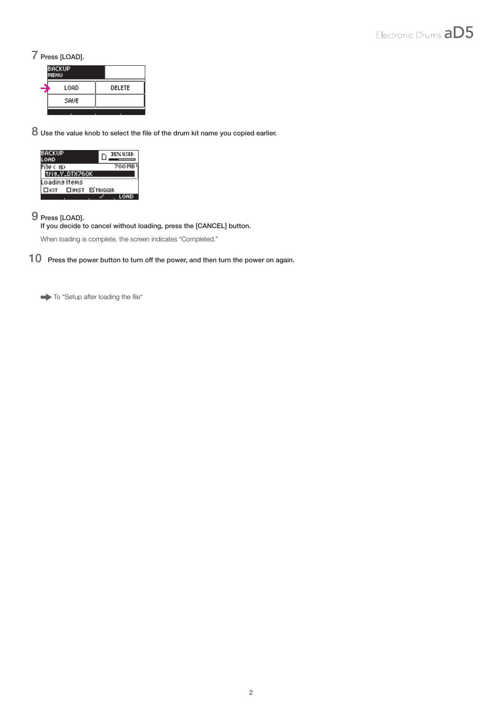# 7 Press [LOAD].

| <b>BACKUP</b><br><b>MENU</b> |        |  |
|------------------------------|--------|--|
| LOAD                         | DELETE |  |
| SAVE                         |        |  |
|                              |        |  |

8 Use the value knob to select the file of the drum kit name you copied earlier.

| <b>BACKUP</b><br><b>OAD</b> |                |  |  | 35% USED      |  |  |
|-----------------------------|----------------|--|--|---------------|--|--|
| File ( 15)                  |                |  |  | <b>700 MB</b> |  |  |
| tris_V_DTX760K              |                |  |  |               |  |  |
|                             | Loading Items  |  |  |               |  |  |
| Пкіт                        | □INST ⊠TRIGGER |  |  |               |  |  |
|                             |                |  |  |               |  |  |

# 9 Press [LOAD].

If you decide to cancel without loading, press the [CANCEL] button.

When loading is complete, the screen indicates "Completed."

10 Press the power button to turn off the power, and then turn the power on again.

To "Setup after loading the file"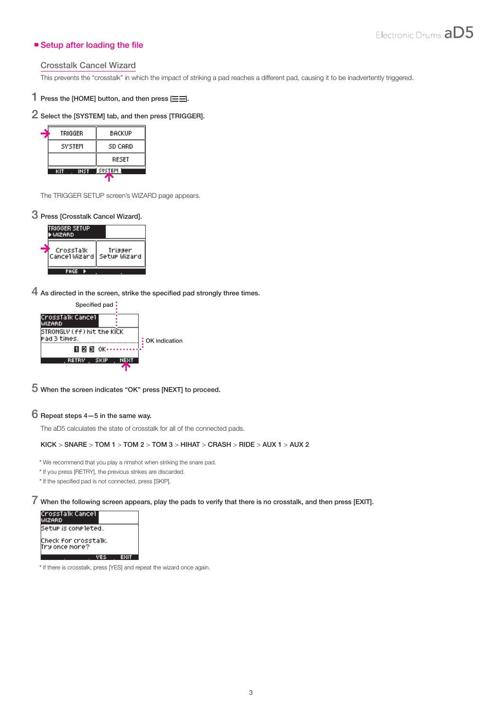## ■ Setup after loading the file

#### Crosstalk Cancel Wizard

This prevents the "crosstalk" in which the impact of striking a pad reaches a different pad, causing it to be inadvertently triggered.

# 1 Press the [HOME] button, and then press  $\equiv \equiv$ ].

# 2 Select the [SYSTEM] tab, and then press [TRIGGER].

| TRIGGER       | BACKUP  |  |  |
|---------------|---------|--|--|
| <b>SYSTEM</b> | SD CARD |  |  |
|               | RESET   |  |  |
| INST          | SVSTEM  |  |  |

The TRIGGER SETUP screen's WIZARD page appears.

# 3 Press [Crosstalk Cancel Wizard].



4 As directed in the screen, strike the specified pad strongly three times.



## 5 When the screen indicates "OK" press [NEXT] to proceed.

#### 6 Repeat steps 4—5 in the same way.

The aD5 calculates the state of crosstalk for all of the connected pads.

#### KICK > SNARE > TOM 1 > TOM 2 > TOM 3 > HIHAT > CRASH > RIDE > AUX 1 > AUX 2

- \* We recommend that you play a rimshot when striking the snare pad.
- \* If you press [RETRY], the previous strikes are discarded.
- \* If the specified pad is not connected, press [SKIP].

# 7 When the following screen appears, play the pads to verify that there is no crosstalk, and then press [EXIT].<br>CrossTalk Cancel<br>WIZARD



\* If there is crosstalk, press [YES] and repeat the wizard once again.